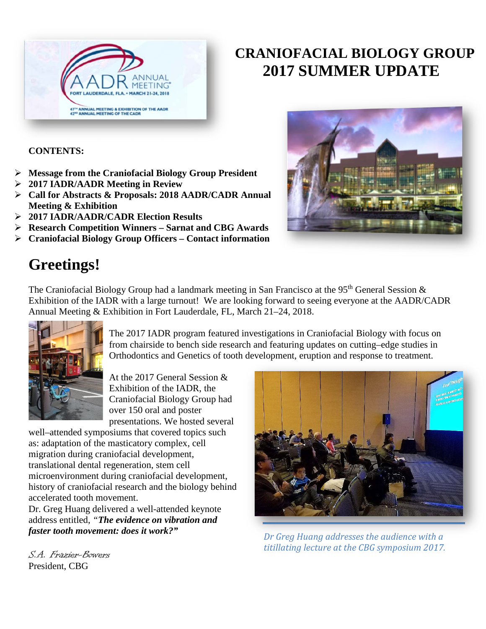

# **CRANIOFACIAL BIOLOGY GROUP 2017 SUMMER UPDATE**

**CONTENTS:**

- **Message from the Craniofacial Biology Group President**
- **2017 IADR/AADR Meeting in Review**
- **Call for Abstracts & Proposals: 2018 AADR/CADR Annual Meeting & Exhibition**
- **2017 IADR/AADR/CADR Election Results**
- **Research Competition Winners – Sarnat and CBG Awards**
- **Craniofacial Biology Group Officers – Contact information**

# **Greetings!**

The Craniofacial Biology Group had a landmark meeting in San Francisco at the 95<sup>th</sup> General Session  $\&$ Exhibition of the IADR with a large turnout! We are looking forward to seeing everyone at the AADR/CADR Annual Meeting & Exhibition in Fort Lauderdale, FL, March 21–24, 2018.



The 2017 IADR program featured investigations in Craniofacial Biology with focus on from chairside to bench side research and featuring updates on cutting–edge studies in Orthodontics and Genetics of tooth development, eruption and response to treatment.

At the 2017 General Session & Exhibition of the IADR, the Craniofacial Biology Group had over 150 oral and poster presentations. We hosted several

well–attended symposiums that covered topics such as: adaptation of the masticatory complex, cell migration during craniofacial development, translational dental regeneration, stem cell microenvironment during craniofacial development, history of craniofacial research and the biology behind accelerated tooth movement.

Dr. Greg Huang delivered a well-attended keynote address entitled, *"The evidence on vibration and faster tooth movement: does it work?"*



*Dr Greg Huang addresses the audience with a titillating lecture at the CBG symposium 2017.*

S.A. Frazier-Bowers President, CBG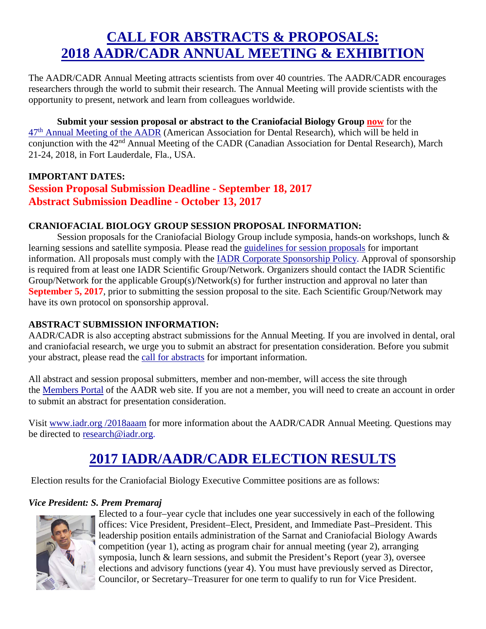# **CALL FOR ABSTRACTS & PROPOSALS: 2018 AADR/CADR ANNUAL MEETING & EXHIBITION**

The AADR/CADR Annual Meeting attracts scientists from over 40 countries. The AADR/CADR encourages researchers through the world to submit their research. The Annual Meeting will provide scientists with the opportunity to present, network and learn from colleagues worldwide.

**Submit your session proposal or abstract to the Craniofacial Biology Group now** for the 47th [Annual Meeting of the AADR](http://www.mmsend2.com/link.cfm?r=GvHl0pIr2ZoSzAPHUllPPw%7E%7E&pe=4tQIt_HYwtvjlKsPEjmH4qTrD71l_cK_coiE3pUQQUSo1j_mJ0c1czVZ3giXjX2i9RaTrY0fjmVE769KHH9mJA%7E%7E) (American Association for Dental Research), which will be held in conjunction with the 42<sup>nd</sup> Annual Meeting of the CADR (Canadian Association for Dental Research), March 21-24, 2018, in Fort Lauderdale, Fla., USA.

### **IMPORTANT DATES: Session Proposal Submission Deadline - September 18, 2017 Abstract Submission Deadline - October 13, 2017**

#### **CRANIOFACIAL BIOLOGY GROUP SESSION PROPOSAL INFORMATION:**

Session proposals for the Craniofacial Biology Group include symposia, hands-on workshops, lunch & learning sessions and satellite symposia. Please read the [guidelines for session proposals](http://www.mmsend2.com/link.cfm?r=GvHl0pIr2ZoSzAPHUllPPw%7E%7E&pe=nZXbkqYUmwj42rzTfYqnekqyXTzd313OTEj09J9uWZ0A3fY_JcG3ZXMWIRuBxQhf2gScy423aFpMChtmD85NrQ%7E%7E) for important information. All proposals must comply with the [IADR Corporate Sponsorship Policy.](http://www.mmsend2.com/link.cfm?r=GvHl0pIr2ZoSzAPHUllPPw%7E%7E&pe=U7BVaA1zMHUPDL83I-Z_AD-rPFpnZfIgJL2vfUvPV3V1gNCjmVIk2Wfc3NZQ-LgBJhzPQtDeMoix__5DJ2F8Dw%7E%7E) Approval of sponsorship is required from at least one IADR Scientific Group/Network. Organizers should contact the IADR Scientific Group/Network for the applicable Group(s)/Network(s) for further instruction and approval no later than **September 5, 2017**, prior to submitting the session proposal to the site. Each Scientific Group/Network may have its own protocol on sponsorship approval.

### **ABSTRACT SUBMISSION INFORMATION:**

AADR/CADR is also accepting abstract submissions for the Annual Meeting. If you are involved in dental, oral and craniofacial research, we urge you to submit an abstract for presentation consideration. Before you submit your abstract, please read the [call for abstracts](http://www.mmsend2.com/link.cfm?r=GvHl0pIr2ZoSzAPHUllPPw%7E%7E&pe=OVIEM2wd54Rkq70FHgz3YQfDdUA8ckjaEfxIx1jlcNnQw6XCyO8Jz3sAjtffze8kSCXJ-bmtPiAE5V490m_DoA%7E%7E) for important information.

All abstract and session proposal submitters, member and non-member, will access the site through the [Members Portal](http://www.mmsend2.com/link.cfm?r=GvHl0pIr2ZoSzAPHUllPPw%7E%7E&pe=fJ8i5jddTfgjJlVh5IiO2uXdDOveMUcAG3daTMy1E85mgn3d5pM13iPRUR0UowmJdZek49XrqbBn5ZEzOeeGKw%7E%7E) of the AADR web site. If you are not a member, you will need to create an account in order to submit an abstract for presentation consideration.

Visit [www.iadr.org](http://www.mmsend2.com/link.cfm?r=GvHl0pIr2ZoSzAPHUllPPw%7E%7E&pe=wfFgUtO7-a8ACWGAxO7M3bHtlha_Q7FSFlRnmZ1rctS8uRhdEDcKQnNMGwz_TUJ8rCIPpz8YcgQdr08fU38qnw%7E%7E) /2018aaam for more information about the AADR/CADR Annual Meeting. Questions may be directed to [research@iadr.org.](mailto:research@iadr.org)

# **2017 IADR/AADR/CADR ELECTION RESULTS**

Election results for the Craniofacial Biology Executive Committee positions are as follows:

### *Vice President: S. Prem Premaraj*



Elected to a four–year cycle that includes one year successively in each of the following offices: Vice President, President–Elect, President, and Immediate Past–President. This leadership position entails administration of the Sarnat and Craniofacial Biology Awards competition (year 1), acting as program chair for annual meeting (year 2), arranging symposia, lunch & learn sessions, and submit the President's Report (year 3), oversee elections and advisory functions (year 4). You must have previously served as Director, Councilor, or Secretary–Treasurer for one term to qualify to run for Vice President.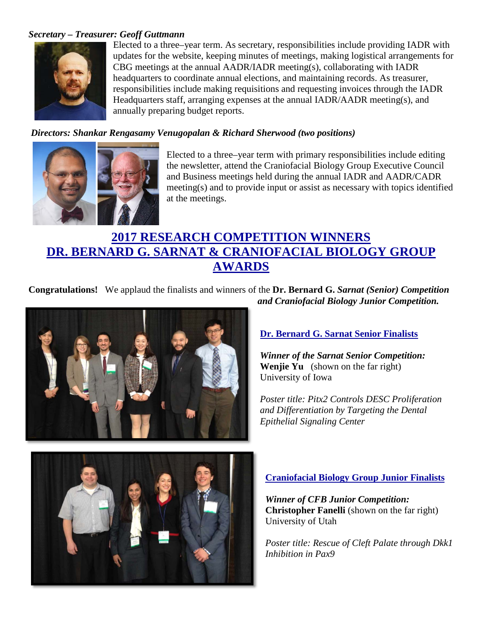#### *Secretary – Treasurer: Geoff Guttmann*



Elected to a three–year term. As secretary, responsibilities include providing IADR with updates for the website, keeping minutes of meetings, making logistical arrangements for CBG meetings at the annual AADR/IADR meeting(s), collaborating with IADR headquarters to coordinate annual elections, and maintaining records. As treasurer, responsibilities include making requisitions and requesting invoices through the IADR Headquarters staff, arranging expenses at the annual IADR/AADR meeting(s), and annually preparing budget reports.

#### *Directors: Shankar Rengasamy Venugopalan & Richard Sherwood (two positions)*



Elected to a three–year term with primary responsibilities include editing the newsletter, attend the Craniofacial Biology Group Executive Council and Business meetings held during the annual IADR and AADR/CADR meeting(s) and to provide input or assist as necessary with topics identified at the meetings.

### **2017 RESEARCH COMPETITION WINNERS DR. BERNARD G. SARNAT & CRANIOFACIAL BIOLOGY GROUP AWARDS**

**Congratulations!** We applaud the finalists and winners of the **Dr. Bernard G.** *Sarnat (Senior) Competition and Craniofacial Biology Junior Competition.*



### **Dr. Bernard G. Sarnat Senior Finalists**

*Winner of the Sarnat Senior Competition:* **Wenjie Yu** (shown on the far right) University of Iowa

*Poster title: Pitx2 Controls DESC Proliferation and Differentiation by Targeting the Dental Epithelial Signaling Center*



#### **Craniofacial Biology Group Junior Finalists**

*Winner of CFB Junior Competition:* **Christopher Fanelli** (shown on the far right) University of Utah

*Poster title: Rescue of Cleft Palate through Dkk1 Inhibition in Pax9*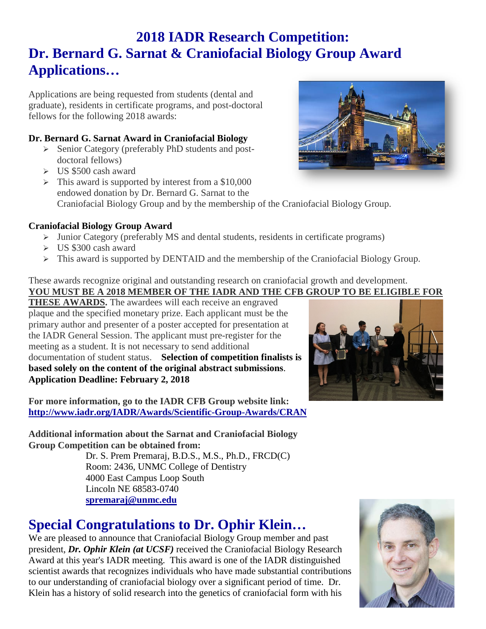# **2018 IADR Research Competition: Dr. Bernard G. Sarnat & Craniofacial Biology Group Award Applications…**

Applications are being requested from students (dental and graduate), residents in certificate programs, and post-doctoral fellows for the following 2018 awards:

### **Dr. Bernard G. Sarnat Award in Craniofacial Biology**

- Senior Category (preferably PhD students and postdoctoral fellows)
- $\geq$  US \$500 cash award
- $\triangleright$  This award is supported by interest from a \$10,000 endowed donation by Dr. Bernard G. Sarnat to the Craniofacial Biology Group and by the membership of the Craniofacial Biology Group.

### **Craniofacial Biology Group Award**

- $\triangleright$  Junior Category (preferably MS and dental students, residents in certificate programs)
- $\triangleright$  US \$300 cash award
- $\triangleright$  This award is supported by DENTAID and the membership of the Craniofacial Biology Group.

These awards recognize original and outstanding research on craniofacial growth and development. **YOU MUST BE A 2018 MEMBER OF THE IADR AND THE CFB GROUP TO BE ELIGIBLE FOR** 

**THESE AWARDS.** The awardees will each receive an engraved plaque and the specified monetary prize. Each applicant must be the primary author and presenter of a poster accepted for presentation at the IADR General Session. The applicant must pre-register for the meeting as a student. It is not necessary to send additional documentation of student status. **Selection of competition finalists is based solely on the content of the original abstract submissions**. **Application Deadline: February 2, 2018**

**For more information, go to the IADR CFB Group website link: <http://www.iadr.org/IADR/Awards/Scientific-Group-Awards/CRAN>**

**Additional information about the Sarnat and Craniofacial Biology Group Competition can be obtained from:**

Dr. S. Prem Premaraj, B.D.S., M.S., Ph.D., FRCD(C) Room: 2436, UNMC College of Dentistry 4000 East Campus Loop South Lincoln NE 68583-0740 **[spremaraj@unmc.edu](mailto:spremaraj@unmc.edu)**

# **Special Congratulations to Dr. Ophir Klein…**

We are pleased to announce that Craniofacial Biology Group member and past president, *Dr. Ophir Klein (at UCSF)* received the Craniofacial Biology Research Award at this year's IADR meeting. This award is one of the IADR distinguished scientist awards that recognizes individuals who have made substantial contributions to our understanding of craniofacial biology over a significant period of time. Dr. Klein has a history of solid research into the genetics of craniofacial form with his





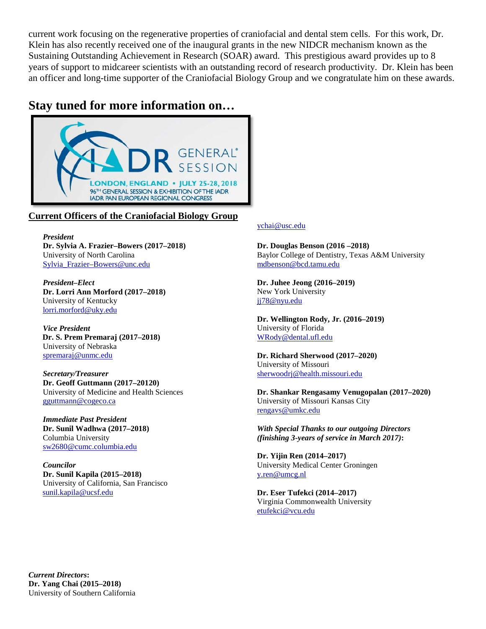current work focusing on the regenerative properties of craniofacial and dental stem cells. For this work, Dr. Klein has also recently received one of the inaugural grants in the new NIDCR mechanism known as the Sustaining Outstanding Achievement in Research (SOAR) award. This prestigious award provides up to 8 years of support to midcareer scientists with an outstanding record of research productivity. Dr. Klein has been an officer and long-time supporter of the Craniofacial Biology Group and we congratulate him on these awards.

### **Stay tuned for more information on…**



#### **Current Officers of the Craniofacial Biology Group**

*President*  **Dr. Sylvia A. Frazier–Bowers (2017–2018)** University of North Carolina [Sylvia\\_Frazier–Bowers@unc.edu](mailto:Sylvia_Frazier-Bowers@unc.edu)

*President–Elect*  **Dr. Lorri Ann Morford (2017–2018)** University of Kentucky [lorri.morford@uky.edu](mailto:lorri.morford@uky.edu)

*Vice President*  **Dr. S. Prem Premaraj (2017–2018)** University of Nebraska [spremaraj@unmc.edu](mailto:spremaraj@unmc.edu)

*Secretary/Treasurer*  **Dr. Geoff Guttmann (2017–20120)** University of Medicine and Health Sciences [gguttmann@cogeco.ca](mailto:ggu77mann@gmail.com)

*Immediate Past President*  **Dr. Sunil Wadhwa (2017–2018)** Columbia University [sw2680@cumc.columbia.edu](mailto:sw2680@cumc.columbia.edu)

*Councilor* **Dr. Sunil Kapila (2015–2018)** University of California, San Francisco [sunil.kapila@ucsf.edu](mailto:sunil.kapila@ucsf.edu)

#### [ychai@usc.edu](mailto:ychai@usc.edu)

**Dr. Douglas Benson (2016 –2018)** Baylor College of Dentistry, Texas A&M University [mdbenson@bcd.tamu.edu](mailto:mdbenson@bcd.tamu.edu)

**Dr. Juhee Jeong (2016–2019)** New York University [jj78@nyu.edu](mailto:jj78@nyu.edu)

**Dr. Wellington Rody, Jr. (2016–2019)** University of Florida [WRody@dental.ufl.edu](mailto:WRody@dental.ufl.edu)

**Dr. Richard Sherwood (2017–2020)** University of Missouri [sherwoodrj@health.missouri.edu](mailto:sherwoodrj@health.missouri.edu)

**Dr. Shankar Rengasamy Venugopalan (2017–2020)** University of Missouri Kansas City [rengavs@umkc.edu](mailto:WRody@dental.ufl.edu)

*With Special Thanks to our outgoing Directors (finishing 3-years of service in March 2017)***:**

**Dr. Yijin Ren (2014–2017)** University Medical Center Groningen [y.ren@umcg.nl](mailto:y.ren@umcg.nl)

**Dr. Eser Tufekci (2014–2017)** Virginia Commonwealth University [etufekci@vcu.edu](mailto:etufekci@vcu.edu)

*Current Directors***: Dr. Yang Chai (2015–2018)** University of Southern California